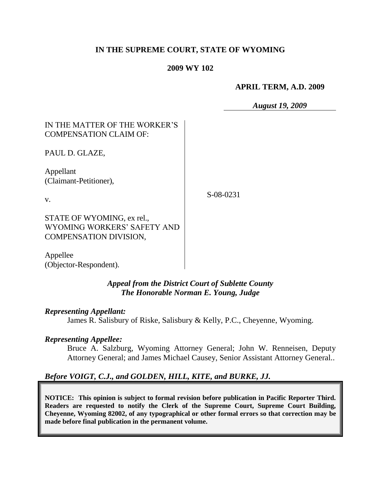# **IN THE SUPREME COURT, STATE OF WYOMING**

## **2009 WY 102**

## **APRIL TERM, A.D. 2009**

*August 19, 2009*

# IN THE MATTER OF THE WORKER"S COMPENSATION CLAIM OF:

PAUL D. GLAZE,

Appellant (Claimant-Petitioner),

v.

S-08-0231

STATE OF WYOMING, ex rel., WYOMING WORKERS" SAFETY AND COMPENSATION DIVISION,

Appellee (Objector-Respondent).

# *Appeal from the District Court of Sublette County The Honorable Norman E. Young, Judge*

## *Representing Appellant:*

James R. Salisbury of Riske, Salisbury & Kelly, P.C., Cheyenne, Wyoming.

## *Representing Appellee:*

Bruce A. Salzburg, Wyoming Attorney General; John W. Renneisen, Deputy Attorney General; and James Michael Causey, Senior Assistant Attorney General..

# *Before VOIGT, C.J., and GOLDEN, HILL, KITE, and BURKE, JJ.*

**NOTICE: This opinion is subject to formal revision before publication in Pacific Reporter Third. Readers are requested to notify the Clerk of the Supreme Court, Supreme Court Building, Cheyenne, Wyoming 82002, of any typographical or other formal errors so that correction may be made before final publication in the permanent volume.**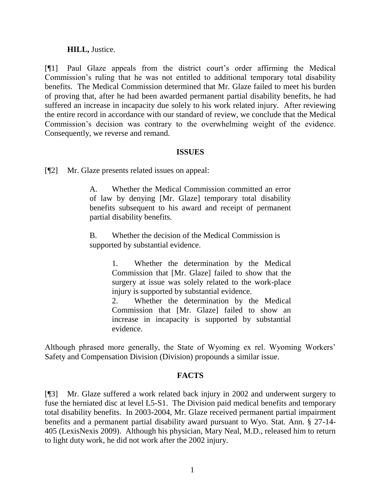## **HILL,** Justice.

[¶1] Paul Glaze appeals from the district court"s order affirming the Medical Commission"s ruling that he was not entitled to additional temporary total disability benefits. The Medical Commission determined that Mr. Glaze failed to meet his burden of proving that, after he had been awarded permanent partial disability benefits, he had suffered an increase in incapacity due solely to his work related injury. After reviewing the entire record in accordance with our standard of review, we conclude that the Medical Commission"s decision was contrary to the overwhelming weight of the evidence. Consequently, we reverse and remand.

## **ISSUES**

[¶2] Mr. Glaze presents related issues on appeal:

A. Whether the Medical Commission committed an error of law by denying [Mr. Glaze] temporary total disability benefits subsequent to his award and receipt of permanent partial disability benefits.

B. Whether the decision of the Medical Commission is supported by substantial evidence.

> 1. Whether the determination by the Medical Commission that [Mr. Glaze] failed to show that the surgery at issue was solely related to the work-place injury is supported by substantial evidence.

> 2. Whether the determination by the Medical Commission that [Mr. Glaze] failed to show an increase in incapacity is supported by substantial evidence.

Although phrased more generally, the State of Wyoming ex rel. Wyoming Workers" Safety and Compensation Division (Division) propounds a similar issue.

# **FACTS**

[¶3] Mr. Glaze suffered a work related back injury in 2002 and underwent surgery to fuse the herniated disc at level L5-S1. The Division paid medical benefits and temporary total disability benefits. In 2003-2004, Mr. Glaze received permanent partial impairment benefits and a permanent partial disability award pursuant to Wyo. Stat. Ann. § 27-14- 405 (LexisNexis 2009). Although his physician, Mary Neal, M.D., released him to return to light duty work, he did not work after the 2002 injury.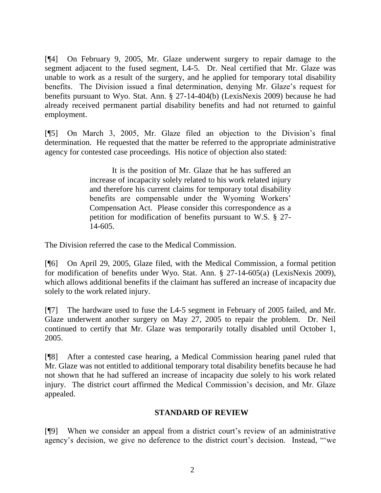[¶4] On February 9, 2005, Mr. Glaze underwent surgery to repair damage to the segment adjacent to the fused segment, L4-5. Dr. Neal certified that Mr. Glaze was unable to work as a result of the surgery, and he applied for temporary total disability benefits. The Division issued a final determination, denying Mr. Glaze's request for benefits pursuant to Wyo. Stat. Ann. § 27-14-404(b) (LexisNexis 2009) because he had already received permanent partial disability benefits and had not returned to gainful employment.

[¶5] On March 3, 2005, Mr. Glaze filed an objection to the Division"s final determination. He requested that the matter be referred to the appropriate administrative agency for contested case proceedings. His notice of objection also stated:

> It is the position of Mr. Glaze that he has suffered an increase of incapacity solely related to his work related injury and therefore his current claims for temporary total disability benefits are compensable under the Wyoming Workers' Compensation Act. Please consider this correspondence as a petition for modification of benefits pursuant to W.S. § 27- 14-605.

The Division referred the case to the Medical Commission.

[¶6] On April 29, 2005, Glaze filed, with the Medical Commission, a formal petition for modification of benefits under Wyo. Stat. Ann. § 27-14-605(a) (LexisNexis 2009), which allows additional benefits if the claimant has suffered an increase of incapacity due solely to the work related injury.

[¶7] The hardware used to fuse the L4-5 segment in February of 2005 failed, and Mr. Glaze underwent another surgery on May 27, 2005 to repair the problem. Dr. Neil continued to certify that Mr. Glaze was temporarily totally disabled until October 1, 2005.

[¶8] After a contested case hearing, a Medical Commission hearing panel ruled that Mr. Glaze was not entitled to additional temporary total disability benefits because he had not shown that he had suffered an increase of incapacity due solely to his work related injury. The district court affirmed the Medical Commission"s decision, and Mr. Glaze appealed.

# **STANDARD OF REVIEW**

[¶9] When we consider an appeal from a district court"s review of an administrative agency's decision, we give no deference to the district court's decision. Instead, "we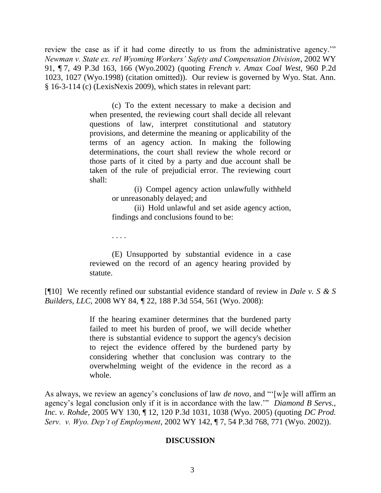review the case as if it had come directly to us from the administrative agency."" *Newman v. State ex. rel Wyoming Workers' Safety and Compensation Division*, 2002 WY 91, ¶ 7, 49 P.3d 163, 166 (Wyo.2002) (quoting *French v. Amax Coal West*, 960 P.2d 1023, 1027 (Wyo.1998) (citation omitted)). Our review is governed by Wyo. Stat. Ann. § 16-3-114 (c) (LexisNexis 2009), which states in relevant part:

> (c) To the extent necessary to make a decision and when presented, the reviewing court shall decide all relevant questions of law, interpret constitutional and statutory provisions, and determine the meaning or applicability of the terms of an agency action. In making the following determinations, the court shall review the whole record or those parts of it cited by a party and due account shall be taken of the rule of prejudicial error. The reviewing court shall:

> > (i) Compel agency action unlawfully withheld or unreasonably delayed; and

> > (ii) Hold unlawful and set aside agency action, findings and conclusions found to be:

. . . .

(E) Unsupported by substantial evidence in a case reviewed on the record of an agency hearing provided by statute.

[¶10] We recently refined our substantial evidence standard of review in *Dale v. S & S Builders, LLC,* 2008 WY 84, *¶* 22, 188 P.3d 554, 561 (Wyo. 2008):

> If the hearing examiner determines that the burdened party failed to meet his burden of proof, we will decide whether there is substantial evidence to support the agency's decision to reject the evidence offered by the burdened party by considering whether that conclusion was contrary to the overwhelming weight of the evidence in the record as a whole.

As always, we review an agency"s conclusions of law *de novo*, and ""[w]e will affirm an agency"s legal conclusion only if it is in accordance with the law."" *Diamond B Servs., Inc. v. Rohde*, 2005 WY 130, ¶ 12, 120 P.3d 1031, 1038 (Wyo. 2005) (quoting *DC Prod. Serv. v. Wyo. Dep't of Employment*, 2002 WY 142, ¶ 7, 54 P.3d 768, 771 (Wyo. 2002)).

## **DISCUSSION**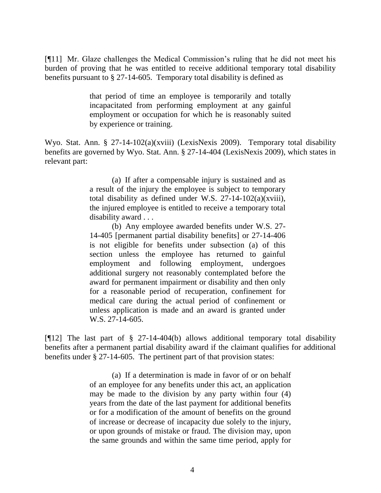[¶11] Mr. Glaze challenges the Medical Commission"s ruling that he did not meet his burden of proving that he was entitled to receive additional temporary total disability benefits pursuant to § 27-14-605. Temporary total disability is defined as

> that period of time an employee is temporarily and totally incapacitated from performing employment at any gainful employment or occupation for which he is reasonably suited by experience or training.

Wyo. Stat. Ann. § 27-14-102(a)(xviii) (LexisNexis 2009). Temporary total disability benefits are governed by Wyo. Stat. Ann. § 27-14-404 (LexisNexis 2009), which states in relevant part:

> (a) If after a compensable injury is sustained and as a result of the injury the employee is subject to temporary total disability as defined under W.S.  $27-14-102(a)(xviii)$ , the injured employee is entitled to receive a temporary total disability award . . .

> (b) Any employee awarded benefits under [W.S. 27-](http://www.westlaw.com/Find/Default.wl?rs=dfa1.0&vr=2.0&DB=1000377&DocName=WYSTS27-14-405&FindType=Y) [14-405](http://www.westlaw.com/Find/Default.wl?rs=dfa1.0&vr=2.0&DB=1000377&DocName=WYSTS27-14-405&FindType=Y) [permanent partial disability benefits] or [27-14-406](http://www.westlaw.com/Find/Default.wl?rs=dfa1.0&vr=2.0&DB=1000377&DocName=WYSTS27-14-406&FindType=Y) is not eligible for benefits under subsection (a) of this section unless the employee has returned to gainful employment and following employment, undergoes additional surgery not reasonably contemplated before the award for permanent impairment or disability and then only for a reasonable period of recuperation, confinement for medical care during the actual period of confinement or unless application is made and an award is granted under [W.S. 27-14-605.](http://www.westlaw.com/Find/Default.wl?rs=dfa1.0&vr=2.0&DB=1000377&DocName=WYSTS27-14-605&FindType=Y)

[¶12] The last part of § 27-14-404(b) allows additional temporary total disability benefits after a permanent partial disability award if the claimant qualifies for additional benefits under § 27-14-605. The pertinent part of that provision states:

> (a) If a determination is made in favor of or on behalf of an employee for any benefits under this act, an application may be made to the division by any party within four (4) years from the date of the last payment for additional benefits or for a modification of the amount of benefits on the ground of increase or decrease of incapacity due solely to the injury, or upon grounds of mistake or fraud. The division may, upon the same grounds and within the same time period, apply for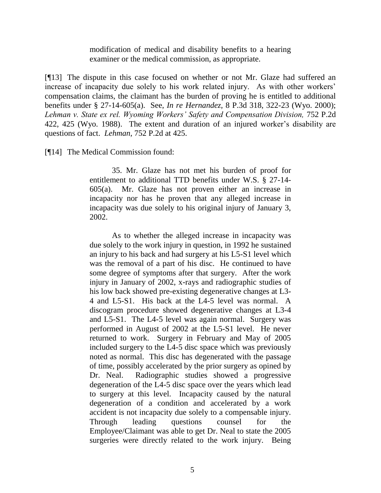modification of medical and disability benefits to a hearing examiner or the medical commission, as appropriate.

[¶13] The dispute in this case focused on whether or not Mr. Glaze had suffered an increase of incapacity due solely to his work related injury. As with other workers' compensation claims, the claimant has the burden of proving he is entitled to additional benefits under § 27-14-605(a). See, *In re Hernandez,* 8 P.3d 318, 322-23 (Wyo. 2000); Lehman v. State ex rel. Wyoming Workers' Safety and Compensation Division, 752 P.2d 422, 425 (Wyo. 1988). The extent and duration of an injured worker"s disability are questions of fact. *Lehman,* 752 P.2d at 425.

[¶14] The Medical Commission found:

35. Mr. Glaze has not met his burden of proof for entitlement to additional TTD benefits under W.S. § 27-14- 605(a). Mr. Glaze has not proven either an increase in incapacity nor has he proven that any alleged increase in incapacity was due solely to his original injury of January 3, 2002.

As to whether the alleged increase in incapacity was due solely to the work injury in question, in 1992 he sustained an injury to his back and had surgery at his L5-S1 level which was the removal of a part of his disc. He continued to have some degree of symptoms after that surgery. After the work injury in January of 2002, x-rays and radiographic studies of his low back showed pre-existing degenerative changes at L3- 4 and L5-S1. His back at the L4-5 level was normal. A discogram procedure showed degenerative changes at L3-4 and L5-S1. The L4-5 level was again normal. Surgery was performed in August of 2002 at the L5-S1 level. He never returned to work. Surgery in February and May of 2005 included surgery to the L4-5 disc space which was previously noted as normal. This disc has degenerated with the passage of time, possibly accelerated by the prior surgery as opined by Dr. Neal. Radiographic studies showed a progressive degeneration of the L4-5 disc space over the years which lead to surgery at this level. Incapacity caused by the natural degeneration of a condition and accelerated by a work accident is not incapacity due solely to a compensable injury. Through leading questions counsel for the Employee/Claimant was able to get Dr. Neal to state the 2005 surgeries were directly related to the work injury. Being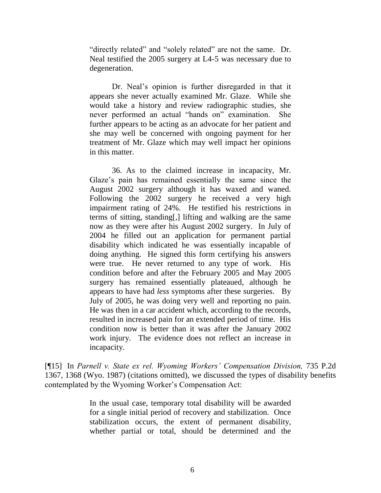"directly related" and "solely related" are not the same. Dr. Neal testified the 2005 surgery at L4-5 was necessary due to degeneration.

Dr. Neal"s opinion is further disregarded in that it appears she never actually examined Mr. Glaze. While she would take a history and review radiographic studies, she never performed an actual "hands on" examination. She further appears to be acting as an advocate for her patient and she may well be concerned with ongoing payment for her treatment of Mr. Glaze which may well impact her opinions in this matter.

36. As to the claimed increase in incapacity, Mr. Glaze's pain has remained essentially the same since the August 2002 surgery although it has waxed and waned. Following the 2002 surgery he received a very high impairment rating of 24%. He testified his restrictions in terms of sitting, standing[,] lifting and walking are the same now as they were after his August 2002 surgery. In July of 2004 he filled out an application for permanent partial disability which indicated he was essentially incapable of doing anything. He signed this form certifying his answers were true. He never returned to any type of work. His condition before and after the February 2005 and May 2005 surgery has remained essentially plateaued, although he appears to have had *less* symptoms after these surgeries. By July of 2005, he was doing very well and reporting no pain. He was then in a car accident which, according to the records, resulted in increased pain for an extended period of time. His condition now is better than it was after the January 2002 work injury. The evidence does not reflect an increase in incapacity.

[¶15] In *Parnell v. State ex rel. Wyoming Workers' Compensation Division,* 735 P.2d 1367, 1368 (Wyo. 1987) (citations omitted), we discussed the types of disability benefits contemplated by the Wyoming Worker"s Compensation Act:

> In the usual case, temporary total disability will be awarded for a single initial period of recovery and stabilization. Once stabilization occurs, the extent of permanent disability, whether partial or total, should be determined and the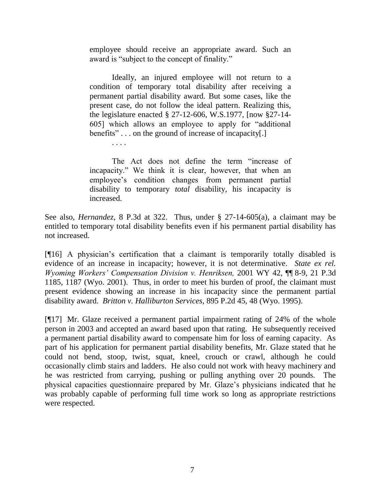employee should receive an appropriate award. Such an award is "subject to the concept of finality."

Ideally, an injured employee will not return to a condition of temporary total disability after receiving a permanent partial disability award. But some cases, like the present case, do not follow the ideal pattern. Realizing this, the legislature enacted § 27-12-606, W.S.1977, [now §27-14- 605] which allows an employee to apply for "additional benefits" . . . on the ground of increase of incapacity[.]

. . . .

The Act does not define the term "increase of incapacity." We think it is clear, however, that when an employee's condition changes from permanent partial disability to temporary *total* disability, his incapacity is increased.

See also, *Hernandez,* 8 P.3d at 322. Thus, under § 27-14-605(a), a claimant may be entitled to temporary total disability benefits even if his permanent partial disability has not increased.

[¶16] A physician"s certification that a claimant is temporarily totally disabled is evidence of an increase in incapacity; however, it is not determinative. *State ex rel. Wyoming Workers' Compensation Division v. Henriksen,* 2001 WY 42, ¶¶ 8-9, 21 P.3d 1185, 1187 (Wyo. 2001). Thus, in order to meet his burden of proof, the claimant must present evidence showing an increase in his incapacity since the permanent partial disability award. *Britton v. Halliburton Services,* 895 P.2d 45, 48 (Wyo. 1995).

[¶17] Mr. Glaze received a permanent partial impairment rating of 24% of the whole person in 2003 and accepted an award based upon that rating. He subsequently received a permanent partial disability award to compensate him for loss of earning capacity. As part of his application for permanent partial disability benefits, Mr. Glaze stated that he could not bend, stoop, twist, squat, kneel, crouch or crawl, although he could occasionally climb stairs and ladders. He also could not work with heavy machinery and he was restricted from carrying, pushing or pulling anything over 20 pounds. The physical capacities questionnaire prepared by Mr. Glaze"s physicians indicated that he was probably capable of performing full time work so long as appropriate restrictions were respected.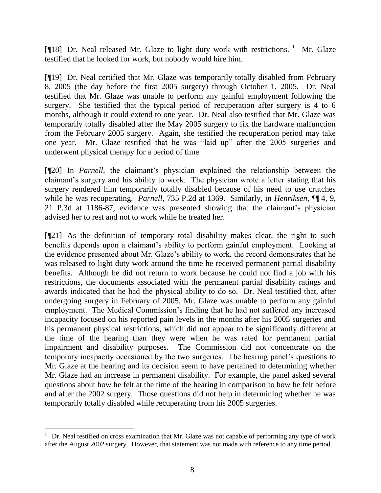[¶18] Dr. Neal released Mr. Glaze to light duty work with restrictions. <sup>1</sup> Mr. Glaze testified that he looked for work, but nobody would hire him.

[¶19] Dr. Neal certified that Mr. Glaze was temporarily totally disabled from February 8, 2005 (the day before the first 2005 surgery) through October 1, 2005. Dr. Neal testified that Mr. Glaze was unable to perform any gainful employment following the surgery. She testified that the typical period of recuperation after surgery is 4 to 6 months, although it could extend to one year. Dr. Neal also testified that Mr. Glaze was temporarily totally disabled after the May 2005 surgery to fix the hardware malfunction from the February 2005 surgery. Again, she testified the recuperation period may take one year. Mr. Glaze testified that he was "laid up" after the 2005 surgeries and underwent physical therapy for a period of time.

[¶20] In *Parnell*, the claimant's physician explained the relationship between the claimant"s surgery and his ability to work. The physician wrote a letter stating that his surgery rendered him temporarily totally disabled because of his need to use crutches while he was recuperating. *Parnell,* 735 P.2d at 1369. Similarly, in *Henriksen,* ¶¶ 4, 9, 21 P.3d at 1186-87, evidence was presented showing that the claimant"s physician advised her to rest and not to work while he treated her.

[¶21] As the definition of temporary total disability makes clear, the right to such benefits depends upon a claimant's ability to perform gainful employment. Looking at the evidence presented about Mr. Glaze"s ability to work, the record demonstrates that he was released to light duty work around the time he received permanent partial disability benefits. Although he did not return to work because he could not find a job with his restrictions, the documents associated with the permanent partial disability ratings and awards indicated that he had the physical ability to do so. Dr. Neal testified that, after undergoing surgery in February of 2005, Mr. Glaze was unable to perform any gainful employment. The Medical Commission"s finding that he had not suffered any increased incapacity focused on his reported pain levels in the months after his 2005 surgeries and his permanent physical restrictions, which did not appear to be significantly different at the time of the hearing than they were when he was rated for permanent partial impairment and disability purposes. The Commission did not concentrate on the temporary incapacity occasioned by the two surgeries. The hearing panel"s questions to Mr. Glaze at the hearing and its decision seem to have pertained to determining whether Mr. Glaze had an increase in permanent disability. For example, the panel asked several questions about how he felt at the time of the hearing in comparison to how he felt before and after the 2002 surgery. Those questions did not help in determining whether he was temporarily totally disabled while recuperating from his 2005 surgeries.

l

<sup>&</sup>lt;sup>1</sup> Dr. Neal testified on cross examination that Mr. Glaze was not capable of performing any type of work after the August 2002 surgery. However, that statement was not made with reference to any time period.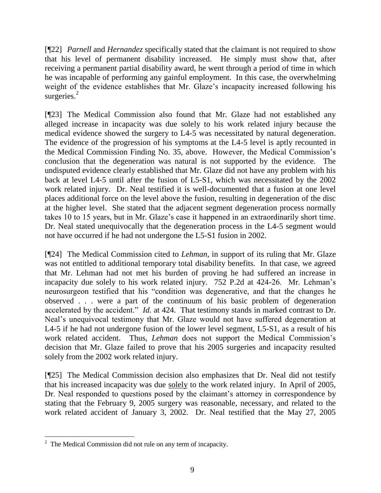[¶22] *Parnell* and *Hernandez* specifically stated that the claimant is not required to show that his level of permanent disability increased. He simply must show that, after receiving a permanent partial disability award, he went through a period of time in which he was incapable of performing any gainful employment. In this case, the overwhelming weight of the evidence establishes that Mr. Glaze's incapacity increased following his surgeries.<sup>2</sup>

[¶23] The Medical Commission also found that Mr. Glaze had not established any alleged increase in incapacity was due solely to his work related injury because the medical evidence showed the surgery to L4-5 was necessitated by natural degeneration. The evidence of the progression of his symptoms at the L4-5 level is aptly recounted in the Medical Commission Finding No. 35, above. However, the Medical Commission"s conclusion that the degeneration was natural is not supported by the evidence. The undisputed evidence clearly established that Mr. Glaze did not have any problem with his back at level L4-5 until after the fusion of L5-S1, which was necessitated by the 2002 work related injury. Dr. Neal testified it is well-documented that a fusion at one level places additional force on the level above the fusion, resulting in degeneration of the disc at the higher level. She stated that the adjacent segment degeneration process normally takes 10 to 15 years, but in Mr. Glaze"s case it happened in an extraordinarily short time. Dr. Neal stated unequivocally that the degeneration process in the L4-5 segment would not have occurred if he had not undergone the L5-S1 fusion in 2002.

[¶24] The Medical Commission cited to *Lehman,* in support of its ruling that Mr. Glaze was not entitled to additional temporary total disability benefits. In that case, we agreed that Mr. Lehman had not met his burden of proving he had suffered an increase in incapacity due solely to his work related injury. 752 P.2d at 424-26. Mr. Lehman's neurosurgeon testified that his "condition was degenerative, and that the changes he observed . . . were a part of the continuum of his basic problem of degeneration accelerated by the accident." *Id.* at 424. That testimony stands in marked contrast to Dr. Neal"s unequivocal testimony that Mr. Glaze would not have suffered degeneration at L4-5 if he had not undergone fusion of the lower level segment, L5-S1, as a result of his work related accident. Thus, *Lehman* does not support the Medical Commission's decision that Mr. Glaze failed to prove that his 2005 surgeries and incapacity resulted solely from the 2002 work related injury.

[¶25] The Medical Commission decision also emphasizes that Dr. Neal did not testify that his increased incapacity was due solely to the work related injury. In April of 2005, Dr. Neal responded to questions posed by the claimant's attorney in correspondence by stating that the February 9, 2005 surgery was reasonable, necessary, and related to the work related accident of January 3, 2002. Dr. Neal testified that the May 27, 2005

 $2^2$  The Medical Commission did not rule on any term of incapacity.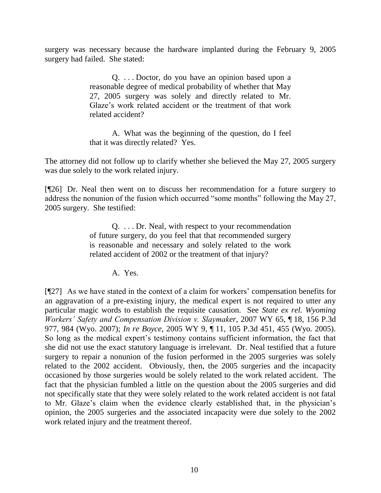surgery was necessary because the hardware implanted during the February 9, 2005 surgery had failed. She stated:

> Q. . . . Doctor, do you have an opinion based upon a reasonable degree of medical probability of whether that May 27, 2005 surgery was solely and directly related to Mr. Glaze's work related accident or the treatment of that work related accident?

> A. What was the beginning of the question, do I feel that it was directly related? Yes.

The attorney did not follow up to clarify whether she believed the May 27, 2005 surgery was due solely to the work related injury.

[¶26] Dr. Neal then went on to discuss her recommendation for a future surgery to address the nonunion of the fusion which occurred "some months" following the May 27, 2005 surgery. She testified:

> Q. . . . Dr. Neal, with respect to your recommendation of future surgery, do you feel that that recommended surgery is reasonable and necessary and solely related to the work related accident of 2002 or the treatment of that injury?

> > A. Yes.

[¶27] As we have stated in the context of a claim for workers" compensation benefits for an aggravation of a pre-existing injury, the medical expert is not required to utter any particular magic words to establish the requisite causation. See *State ex rel. Wyoming Workers' Safety and Compensation Division v. Slaymaker,* 2007 WY 65, ¶ 18, 156 P.3d 977, 984 (Wyo. 2007); *In re Boyce,* 2005 WY 9, ¶ 11, 105 P.3d 451, 455 (Wyo. 2005). So long as the medical expert's testimony contains sufficient information, the fact that she did not use the exact statutory language is irrelevant. Dr. Neal testified that a future surgery to repair a nonunion of the fusion performed in the 2005 surgeries was solely related to the 2002 accident. Obviously, then, the 2005 surgeries and the incapacity occasioned by those surgeries would be solely related to the work related accident. The fact that the physician fumbled a little on the question about the 2005 surgeries and did not specifically state that they were solely related to the work related accident is not fatal to Mr. Glaze"s claim when the evidence clearly established that, in the physician"s opinion, the 2005 surgeries and the associated incapacity were due solely to the 2002 work related injury and the treatment thereof.